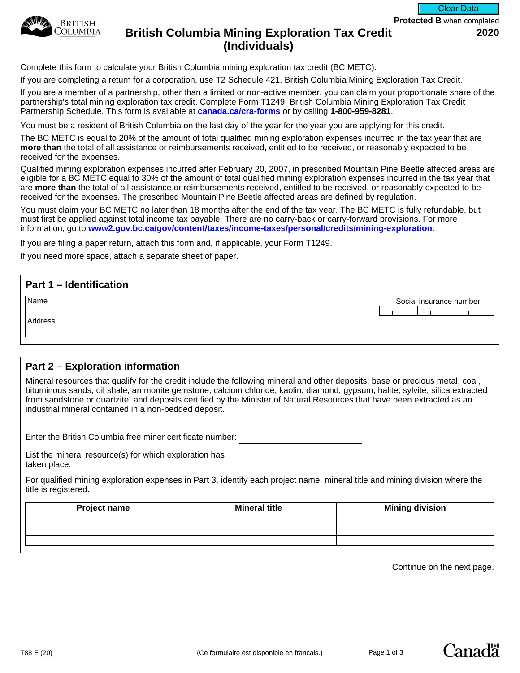

#### **Protected B** when completed Clear Data

# **British Columbia Mining Exploration Tax Credit 2020 (Individuals)**

Complete this form to calculate your British Columbia mining exploration tax credit (BC METC).

If you are completing a return for a corporation, use T2 Schedule 421, British Columbia Mining Exploration Tax Credit.

If you are a member of a partnership, other than a limited or non-active member, you can claim your proportionate share of the partnership's total mining exploration tax credit. Complete Form T1249, British Columbia Mining Exploration Tax Credit Partnership Schedule. This form is available at **[canada.ca/cra-forms](http://canada.ca/cra-forms)** or by calling **1-800-959-8281**.

You must be a resident of British Columbia on the last day of the year for the year you are applying for this credit.

The BC METC is equal to 20% of the amount of total qualified mining exploration expenses incurred in the tax year that are **more than** the total of all assistance or reimbursements received, entitled to be received, or reasonably expected to be received for the expenses.

Qualified mining exploration expenses incurred after February 20, 2007, in prescribed Mountain Pine Beetle affected areas are eligible for a BC METC equal to 30% of the amount of total qualified mining exploration expenses incurred in the tax year that are **more than** the total of all assistance or reimbursements received, entitled to be received, or reasonably expected to be received for the expenses. The prescribed Mountain Pine Beetle affected areas are defined by regulation.

You must claim your BC METC no later than 18 months after the end of the tax year. The BC METC is fully refundable, but must first be applied against total income tax payable. There are no carry-back or carry-forward provisions. For more information, go to **[www2.gov.bc.ca/gov/content/taxes/income-taxes/personal/credits/mining-exploration](https://www2.gov.bc.ca/gov/content/taxes/income-taxes/personal/credits/mining-exploration)**.

If you are filing a paper return, attach this form and, if applicable, your Form T1249.

If you need more space, attach a separate sheet of paper.

| Social insurance number |
|-------------------------|
|                         |
|                         |
|                         |
|                         |

## **Part 2 – Exploration information**

Mineral resources that qualify for the credit include the following mineral and other deposits: base or precious metal, coal, bituminous sands, oil shale, ammonite gemstone, calcium chloride, kaolin, diamond, gypsum, halite, sylvite, silica extracted from sandstone or quartzite, and deposits certified by the Minister of Natural Resources that have been extracted as an industrial mineral contained in a non-bedded deposit.

Enter the British Columbia free miner certificate number:

List the mineral resource(s) for which exploration has taken place:

For qualified mining exploration expenses in Part 3, identify each project name, mineral title and mining division where the title is registered.

| <b>Mineral title</b> | <b>Mining division</b> |
|----------------------|------------------------|
|                      |                        |
|                      |                        |
|                      |                        |
|                      |                        |

Continue on the next page.

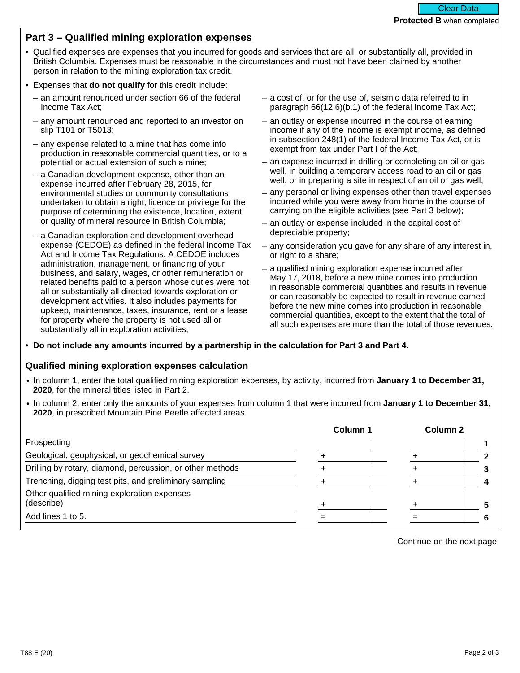## **Part 3 – Qualified mining exploration expenses**

- Qualified expenses are expenses that you incurred for goods and services that are all, or substantially all, provided in British Columbia. Expenses must be reasonable in the circumstances and must not have been claimed by another person in relation to the mining exploration tax credit.
- Expenses that **do not qualify** for this credit include:
	- an amount renounced under section 66 of the federal Income Tax Act;
	- any amount renounced and reported to an investor on slip T101 or T5013;
	- any expense related to a mine that has come into production in reasonable commercial quantities, or to a potential or actual extension of such a mine;
	- a Canadian development expense, other than an expense incurred after February 28, 2015, for environmental studies or community consultations undertaken to obtain a right, licence or privilege for the purpose of determining the existence, location, extent or quality of mineral resource in British Columbia;
	- a Canadian exploration and development overhead expense (CEDOE) as defined in the federal Income Tax Act and Income Tax Regulations. A CEDOE includes administration, management, or financing of your business, and salary, wages, or other remuneration or related benefits paid to a person whose duties were not all or substantially all directed towards exploration or development activities. It also includes payments for upkeep, maintenance, taxes, insurance, rent or a lease for property where the property is not used all or substantially all in exploration activities;
- a cost of, or for the use of, seismic data referred to in paragraph 66(12.6)(b.1) of the federal Income Tax Act;
- an outlay or expense incurred in the course of earning income if any of the income is exempt income, as defined in subsection 248(1) of the federal Income Tax Act, or is exempt from tax under Part I of the Act;
- an expense incurred in drilling or completing an oil or gas well, in building a temporary access road to an oil or gas well, or in preparing a site in respect of an oil or gas well;
- any personal or living expenses other than travel expenses incurred while you were away from home in the course of carrying on the eligible activities (see Part 3 below);
- an outlay or expense included in the capital cost of depreciable property;
- any consideration you gave for any share of any interest in, or right to a share;
- a qualified mining exploration expense incurred after May 17, 2018, before a new mine comes into production in reasonable commercial quantities and results in revenue or can reasonably be expected to result in revenue earned before the new mine comes into production in reasonable commercial quantities, except to the extent that the total of all such expenses are more than the total of those revenues.

• **Do not include any amounts incurred by a partnership in the calculation for Part 3 and Part 4.**

## **Qualified mining exploration expenses calculation**

- In column 1, enter the total qualified mining exploration expenses, by activity, incurred from **January 1 to December 31, 2020**, for the mineral titles listed in Part 2.
- In column 2, enter only the amounts of your expenses from column 1 that were incurred from **January 1 to December 31, 2020**, in prescribed Mountain Pine Beetle affected areas.

|                                                           | Column 1 | Column 2 |  |
|-----------------------------------------------------------|----------|----------|--|
| Prospecting                                               |          |          |  |
| Geological, geophysical, or geochemical survey            |          |          |  |
| Drilling by rotary, diamond, percussion, or other methods |          |          |  |
| Trenching, digging test pits, and preliminary sampling    |          |          |  |
| Other qualified mining exploration expenses               |          |          |  |
| (describe)                                                |          |          |  |
| Add lines 1 to 5.                                         |          |          |  |

Continue on the next page.